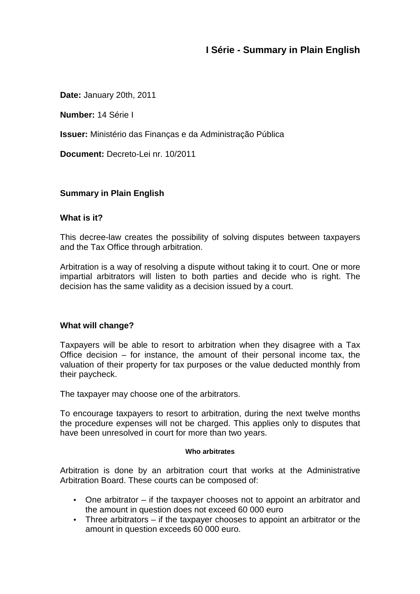# **I Série - Summary in Plain English**

**Date:** January 20th, 2011

**Number:** 14 Série I

**Issuer:** Ministério das Finanças e da Administração Pública

**Document:** Decreto-Lei nr. 10/2011

# **Summary in Plain English**

### **What is it?**

This decree-law creates the possibility of solving disputes between taxpayers and the Tax Office through arbitration.

Arbitration is a way of resolving a dispute without taking it to court. One or more impartial arbitrators will listen to both parties and decide who is right. The decision has the same validity as a decision issued by a court.

## **What will change?**

Taxpayers will be able to resort to arbitration when they disagree with a Tax Office decision – for instance, the amount of their personal income tax, the valuation of their property for tax purposes or the value deducted monthly from their paycheck.

The taxpayer may choose one of the arbitrators.

To encourage taxpayers to resort to arbitration, during the next twelve months the procedure expenses will not be charged. This applies only to disputes that have been unresolved in court for more than two years.

#### **Who arbitrates**

Arbitration is done by an arbitration court that works at the Administrative Arbitration Board. These courts can be composed of:

- One arbitrator if the taxpayer chooses not to appoint an arbitrator and the amount in question does not exceed 60 000 euro
- Three arbitrators if the taxpayer chooses to appoint an arbitrator or the amount in question exceeds 60 000 euro.